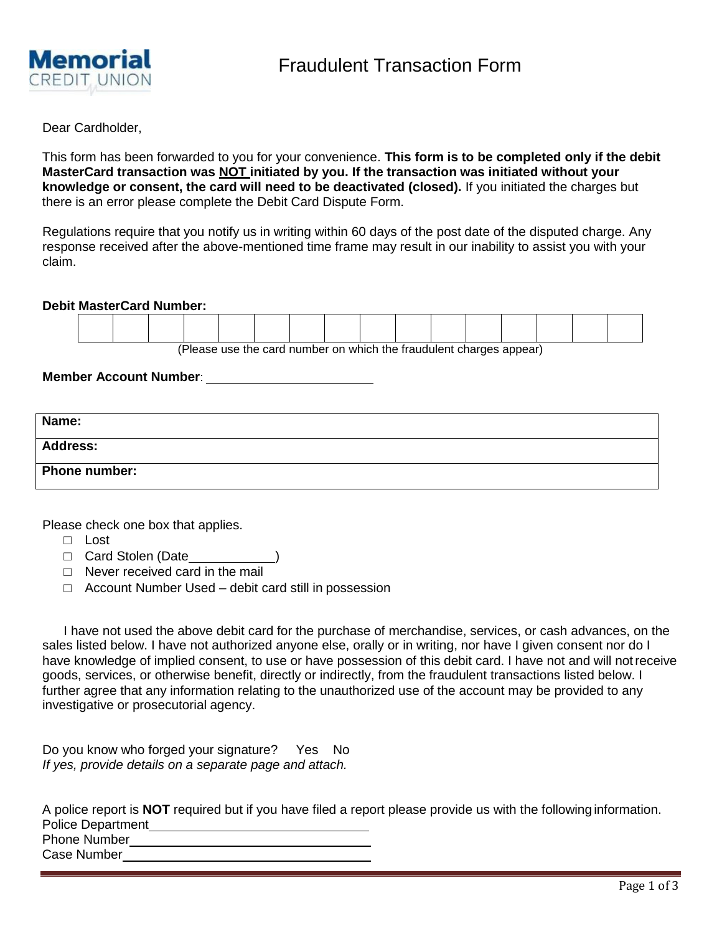

Dear Cardholder,

This form has been forwarded to you for your convenience. **This form is to be completed only if the debit MasterCard transaction was NOT initiated by you. If the transaction was initiated without your knowledge or consent, the card will need to be deactivated (closed).** If you initiated the charges but there is an error please complete the Debit Card Dispute Form.

Regulations require that you notify us in writing within 60 days of the post date of the disputed charge. Any response received after the above-mentioned time frame may result in our inability to assist you with your claim.

**Debit MasterCard Number:**

| $\sqrt{D}$ be a greater than the set of contraction of the field of the function of the set of $\alpha$ and $\alpha$ and $\alpha$ |  |  |  |  |  |  |  |  |  |  |  |  |
|-----------------------------------------------------------------------------------------------------------------------------------|--|--|--|--|--|--|--|--|--|--|--|--|

(Please use the card number on which the fraudulent charges appear)

**Member Account Number**:

| Name:                |  |
|----------------------|--|
| <b>Address:</b>      |  |
| <b>Phone number:</b> |  |

Please check one box that applies.

- □ Lost
- □ Card Stolen (Date\_\_\_\_\_\_\_\_\_\_\_\_\_\_\_)
- □ Never received card in the mail
- □ Account Number Used debit card still in possession

I have not used the above debit card for the purchase of merchandise, services, or cash advances, on the sales listed below. I have not authorized anyone else, orally or in writing, nor have I given consent nor do I have knowledge of implied consent, to use or have possession of this debit card. I have not and will notreceive goods, services, or otherwise benefit, directly or indirectly, from the fraudulent transactions listed below. I further agree that any information relating to the unauthorized use of the account may be provided to any investigative or prosecutorial agency.

Do you know who forged your signature? Yes No *If yes, provide details on a separate page and attach.*

A police report is **NOT** required but if you have filed a report please provide us with the following information. Police Department

Phone Number Case Number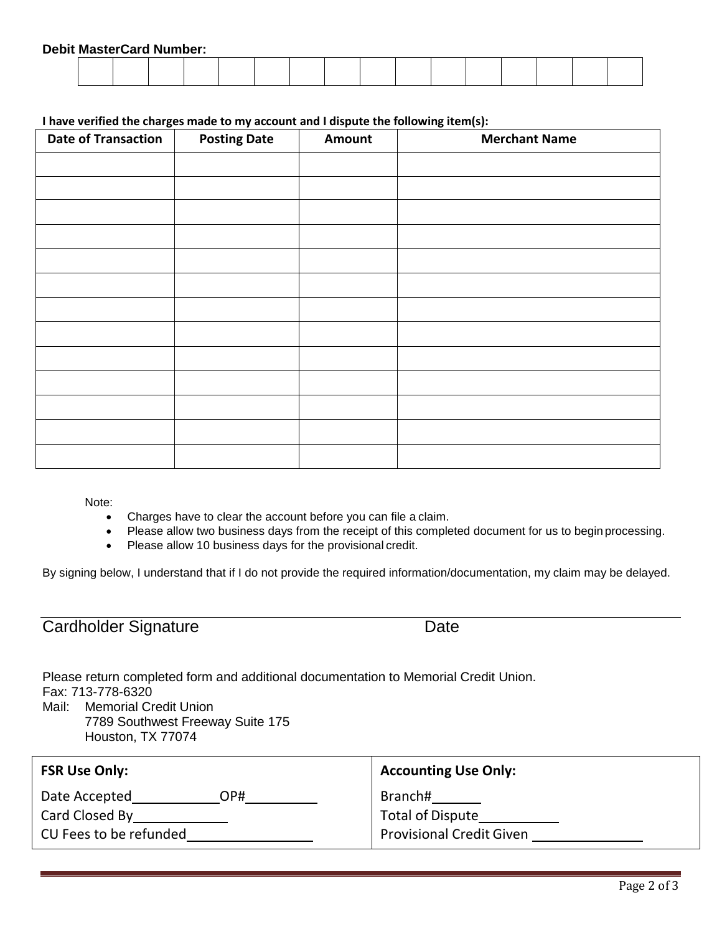## **I have verified the charges made to my account and I dispute the following item(s):**

| <b>Date of Transaction</b> | <b>Posting Date</b> | Amount | <b>Merchant Name</b> |
|----------------------------|---------------------|--------|----------------------|
|                            |                     |        |                      |
|                            |                     |        |                      |
|                            |                     |        |                      |
|                            |                     |        |                      |
|                            |                     |        |                      |
|                            |                     |        |                      |
|                            |                     |        |                      |
|                            |                     |        |                      |
|                            |                     |        |                      |
|                            |                     |        |                      |
|                            |                     |        |                      |
|                            |                     |        |                      |
|                            |                     |        |                      |

Note:

- Charges have to clear the account before you can file a claim.
- Please allow two business days from the receipt of this completed document for us to begin processing.
- Please allow 10 business days for the provisional credit.

By signing below, I understand that if I do not provide the required information/documentation, my claim may be delayed.

| Cardholder Signature | Date |
|----------------------|------|
|                      |      |

Please return completed form and additional documentation to Memorial Credit Union. Fax: 713-778-6320 Mail: Memorial Credit Union

7789 Southwest Freeway Suite 175 Houston, TX 77074

| <b>FSR Use Only:</b>   | <b>Accounting Use Only:</b>     |
|------------------------|---------------------------------|
| Date Accepted<br>HPC   | Branch#                         |
| Card Closed By         | <b>Total of Dispute</b>         |
| CU Fees to be refunded | <b>Provisional Credit Given</b> |